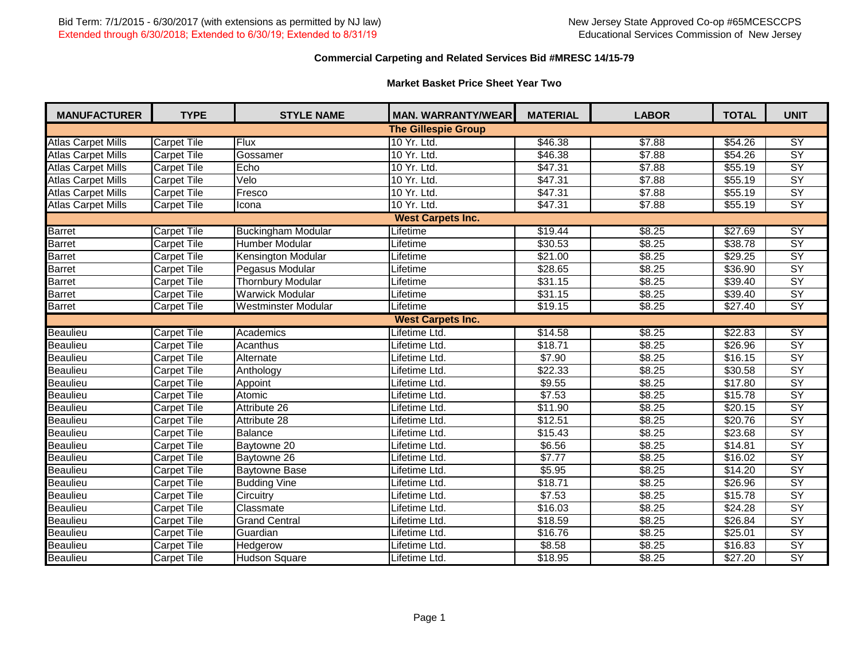# **Commercial Carpeting and Related Services Bid #MRESC 14/15-79**

# **Market Basket Price Sheet Year Two**

| <b>MANUFACTURER</b>       | <b>TYPE</b>        | <b>STYLE NAME</b>         | <b>MAN. WARRANTY/WEAR</b>  | <b>MATERIAL</b> | <b>LABOR</b>       | <b>TOTAL</b>        | <b>UNIT</b>     |
|---------------------------|--------------------|---------------------------|----------------------------|-----------------|--------------------|---------------------|-----------------|
|                           |                    |                           | <b>The Gillespie Group</b> |                 |                    |                     |                 |
| <b>Atlas Carpet Mills</b> | <b>Carpet Tile</b> | <b>Flux</b>               | 10 Yr. Ltd.                | \$46.38         | \$7.88             | $\sqrt{$54.26}$     | $\overline{SY}$ |
| <b>Atlas Carpet Mills</b> | <b>Carpet Tile</b> | Gossamer                  | 10 Yr. Ltd.                | \$46.38         | \$7.88             | $\overline{$}54.26$ | $\overline{SY}$ |
| <b>Atlas Carpet Mills</b> | <b>Carpet Tile</b> | Echo                      | 10 Yr. Ltd.                | \$47.31         | \$7.88             | \$55.19             | $\overline{SY}$ |
| <b>Atlas Carpet Mills</b> | <b>Carpet Tile</b> | Velo                      | 10 Yr. Ltd.                | \$47.31         | \$7.88             | \$55.19             | $\overline{SY}$ |
| <b>Atlas Carpet Mills</b> | <b>Carpet Tile</b> | Fresco                    | 10 Yr. Ltd.                | \$47.31         | \$7.88             | \$55.19             | $\overline{SY}$ |
| <b>Atlas Carpet Mills</b> | <b>Carpet Tile</b> | Icona                     | 10 Yr. Ltd.                | \$47.31         | \$7.88             | \$55.19             | <b>SY</b>       |
|                           |                    |                           | <b>West Carpets Inc.</b>   |                 |                    |                     |                 |
| <b>Barret</b>             | <b>Carpet Tile</b> | <b>Buckingham Modular</b> | Lifetime                   | \$19.44         | \$8.25             | \$27.69             | <b>SY</b>       |
| Barret                    | Carpet Tile        | Humber Modular            | Lifetime                   | \$30.53         | \$8.25             | \$38.78             | $\overline{SY}$ |
| <b>Barret</b>             | <b>Carpet Tile</b> | <b>Kensington Modular</b> | Lifetime                   | \$21.00         | 38.25              | \$29.25             | $\overline{SY}$ |
| Barret                    | <b>Carpet Tile</b> | Pegasus Modular           | Lifetime                   | \$28.65         | \$8.25             | \$36.90             | $\overline{SY}$ |
| <b>Barret</b>             | <b>Carpet Tile</b> | <b>Thornbury Modular</b>  | Lifetime                   | \$31.15         | \$8.25             | \$39.40             | $\overline{SY}$ |
| <b>Barret</b>             | <b>Carpet Tile</b> | <b>Warwick Modular</b>    | Lifetime                   | 331.15          | \$8.25             | \$39.40             | $\overline{SY}$ |
| <b>Barret</b>             | <b>Carpet Tile</b> | Westminster Modular       | Lifetime                   | \$19.15         | \$8.25             | \$27.40             | $\overline{SY}$ |
|                           |                    |                           | <b>West Carpets Inc.</b>   |                 |                    |                     |                 |
| <b>Beaulieu</b>           | <b>Carpet Tile</b> | Academics                 | Lifetime Ltd.              | \$14.58         | \$8.25             | \$22.83             | <b>SY</b>       |
| <b>Beaulieu</b>           | <b>Carpet Tile</b> | <b>Acanthus</b>           | Lifetime Ltd.              | \$18.71         | \$8.25             | \$26.96             | $\overline{SY}$ |
| <b>Beaulieu</b>           | <b>Carpet Tile</b> | Alternate                 | Lifetime Ltd.              | \$7.90          | \$8.25             | \$16.15             | $\overline{SY}$ |
| <b>Beaulieu</b>           | <b>Carpet Tile</b> | Anthology                 | Lifetime Ltd.              | \$22.33         | \$8.25             | $\overline{$30.58}$ | $\overline{SY}$ |
| <b>Beaulieu</b>           | <b>Carpet Tile</b> | Appoint                   | Lifetime Ltd.              | \$9.55          | \$8.25             | \$17.80             | $\overline{SY}$ |
| <b>Beaulieu</b>           | <b>Carpet Tile</b> | Atomic                    | Lifetime Ltd.              | \$7.53          | \$8.25             | \$15.78             | $\overline{SY}$ |
| <b>Beaulieu</b>           | <b>Carpet Tile</b> | Attribute 26              | Lifetime Ltd.              | \$11.90         | \$8.25             | \$20.15             | $\overline{SY}$ |
| <b>Beaulieu</b>           | <b>Carpet Tile</b> | Attribute 28              | Lifetime Ltd.              | \$12.51         | \$8.25             | \$20.76             | $\overline{SY}$ |
| <b>Beaulieu</b>           | <b>Carpet Tile</b> | Balance                   | Lifetime Ltd.              | \$15.43         | $\overline{$8.25}$ | \$23.68             | $\overline{SY}$ |
| <b>Beaulieu</b>           | Carpet Tile        | Baytowne 20               | Lifetime Ltd.              | \$6.56          | \$8.25             | \$14.81             | $\overline{SY}$ |
| <b>Beaulieu</b>           | <b>Carpet Tile</b> | Baytowne 26               | Lifetime Ltd.              | \$7.77          | \$8.25             | \$16.02             | $\overline{SY}$ |
| <b>Beaulieu</b>           | <b>Carpet Tile</b> | <b>Baytowne Base</b>      | Lifetime Ltd.              | \$5.95          | \$8.25             | \$14.20             | $\overline{SY}$ |
| <b>Beaulieu</b>           | <b>Carpet Tile</b> | <b>Budding Vine</b>       | Lifetime Ltd.              | \$18.71         | \$8.25             | \$26.96             | $\overline{SY}$ |
| <b>Beaulieu</b>           | <b>Carpet Tile</b> | Circuitry                 | Lifetime Ltd.              | \$7.53          | \$8.25             | \$15.78             | $\overline{SY}$ |
| <b>Beaulieu</b>           | <b>Carpet Tile</b> | Classmate                 | Lifetime Ltd.              | \$16.03         | \$8.25             | \$24.28             | $\overline{SY}$ |
| <b>Beaulieu</b>           | <b>Carpet Tile</b> | <b>Grand Central</b>      | Lifetime Ltd.              | \$18.59         | \$8.25             | \$26.84             | $\overline{SY}$ |
| <b>Beaulieu</b>           | <b>Carpet Tile</b> | Guardian                  | Lifetime Ltd.              | \$16.76         | 38.25              | \$25.01             | $\overline{SY}$ |
| <b>Beaulieu</b>           | <b>Carpet Tile</b> | Hedgerow                  | Lifetime Ltd.              | \$8.58          | \$8.25             | \$16.83             | $\overline{SY}$ |
| <b>Beaulieu</b>           | <b>Carpet Tile</b> | <b>Hudson Square</b>      | Lifetime Ltd.              | \$18.95         | \$8.25             | \$27.20             | $\overline{SY}$ |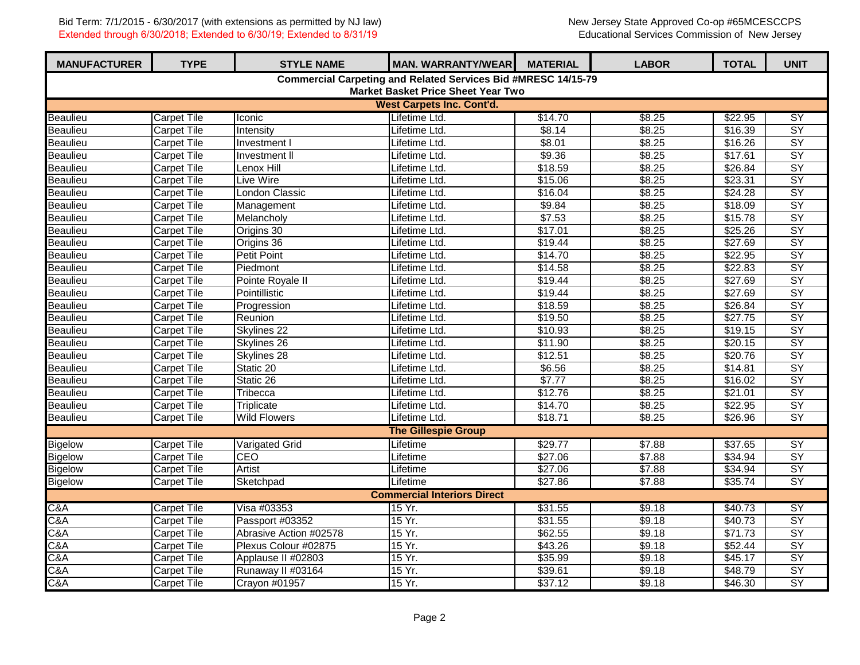| <b>MANUFACTURER</b>                                           | <b>TYPE</b>                               | <b>STYLE NAME</b>      | <b>MAN. WARRANTY/WEAR</b>        | <b>MATERIAL</b> | <b>LABOR</b> | <b>TOTAL</b> | <b>UNIT</b>     |  |  |  |
|---------------------------------------------------------------|-------------------------------------------|------------------------|----------------------------------|-----------------|--------------|--------------|-----------------|--|--|--|
| Commercial Carpeting and Related Services Bid #MRESC 14/15-79 |                                           |                        |                                  |                 |              |              |                 |  |  |  |
|                                                               | <b>Market Basket Price Sheet Year Two</b> |                        |                                  |                 |              |              |                 |  |  |  |
|                                                               |                                           |                        | <b>West Carpets Inc. Cont'd.</b> |                 |              |              |                 |  |  |  |
| <b>Beaulieu</b>                                               | <b>Carpet Tile</b>                        | Iconic                 | Lifetime Ltd.                    | \$14.70         | \$8.25       | \$22.95      | SY              |  |  |  |
| Beaulieu                                                      | <b>Carpet Tile</b>                        | Intensity              | Lifetime Ltd.                    | \$8.14          | \$8.25       | \$16.39      | $\overline{SY}$ |  |  |  |
| <b>Beaulieu</b>                                               | <b>Carpet Tile</b>                        | Investment I           | Lifetime Ltd.                    | \$8.01          | \$8.25       | \$16.26      | $\overline{SY}$ |  |  |  |
| Beaulieu                                                      | <b>Carpet Tile</b>                        | <b>Investment II</b>   | Lifetime Ltd.                    | \$9.36          | \$8.25       | \$17.61      | $\overline{SY}$ |  |  |  |
| <b>Beaulieu</b>                                               | <b>Carpet Tile</b>                        | Lenox Hill             | Lifetime Ltd.                    | \$18.59         | \$8.25       | \$26.84      | $\overline{SY}$ |  |  |  |
| Beaulieu                                                      | <b>Carpet Tile</b>                        | Live Wire              | Lifetime Ltd.                    | \$15.06         | \$8.25       | \$23.31      | $\overline{SY}$ |  |  |  |
| <b>Beaulieu</b>                                               | <b>Carpet Tile</b>                        | <b>London Classic</b>  | Lifetime Ltd.                    | \$16.04         | \$8.25       | \$24.28      | $\overline{SY}$ |  |  |  |
| <b>Beaulieu</b>                                               | Carpet Tile                               | Management             | Lifetime Ltd.                    | \$9.84          | \$8.25       | \$18.09      | $\overline{SY}$ |  |  |  |
| <b>Beaulieu</b>                                               | <b>Carpet Tile</b>                        | Melancholy             | Lifetime Ltd.                    | \$7.53          | \$8.25       | \$15.78      | $\overline{SY}$ |  |  |  |
| <b>Beaulieu</b>                                               | Carpet Tile                               | Origins 30             | Lifetime Ltd.                    | \$17.01         | \$8.25       | \$25.26      | $\overline{SY}$ |  |  |  |
| Beaulieu                                                      | <b>Carpet Tile</b>                        | Origins 36             | Lifetime Ltd.                    | \$19.44         | \$8.25       | \$27.69      | $\overline{SY}$ |  |  |  |
| <b>Beaulieu</b>                                               | <b>Carpet Tile</b>                        | <b>Petit Point</b>     | Lifetime Ltd.                    | \$14.70         | \$8.25       | \$22.95      | $\overline{SY}$ |  |  |  |
| Beaulieu                                                      | <b>Carpet Tile</b>                        | Piedmont               | Lifetime Ltd.                    | \$14.58         | \$8.25       | \$22.83      | $\overline{SY}$ |  |  |  |
| Beaulieu                                                      | <b>Carpet Tile</b>                        | Pointe Royale II       | Lifetime Ltd.                    | \$19.44         | \$8.25       | \$27.69      | $\overline{SY}$ |  |  |  |
| Beaulieu                                                      | <b>Carpet Tile</b>                        | Pointillistic          | Lifetime Ltd.                    | \$19.44         | \$8.25       | \$27.69      | $\overline{SY}$ |  |  |  |
| <b>Beaulieu</b>                                               | <b>Carpet Tile</b>                        | Progression            | Lifetime Ltd.                    | \$18.59         | \$8.25       | \$26.84      | $\overline{SY}$ |  |  |  |
| Beaulieu                                                      | <b>Carpet Tile</b>                        | Reunion                | Lifetime Ltd.                    | \$19.50         | \$8.25       | \$27.75      | $\overline{SY}$ |  |  |  |
| <b>Beaulieu</b>                                               | <b>Carpet Tile</b>                        | Skylines 22            | Lifetime Ltd.                    | \$10.93         | \$8.25       | \$19.15      | $\overline{SY}$ |  |  |  |
| <b>Beaulieu</b>                                               | <b>Carpet Tile</b>                        | Skylines <sub>26</sub> | Lifetime Ltd.                    | \$11.90         | \$8.25       | \$20.15      | $\overline{SY}$ |  |  |  |
| Beaulieu                                                      | <b>Carpet Tile</b>                        | Skylines 28            | Lifetime Ltd.                    | \$12.51         | \$8.25       | \$20.76      | $\overline{SY}$ |  |  |  |
| <b>Beaulieu</b>                                               | <b>Carpet Tile</b>                        | Static 20              | Lifetime Ltd.                    | \$6.56          | \$8.25       | \$14.81      | $\overline{SY}$ |  |  |  |
| <b>Beaulieu</b>                                               | <b>Carpet Tile</b>                        | Static 26              | Lifetime Ltd.                    | \$7.77          | \$8.25       | \$16.02      | $\overline{SY}$ |  |  |  |
| Beaulieu                                                      | Carpet Tile                               | Tribecca               | Lifetime Ltd.                    | \$12.76         | \$8.25       | \$21.01      | $\overline{SY}$ |  |  |  |
| <b>Beaulieu</b>                                               | <b>Carpet Tile</b>                        | Triplicate             | Lifetime Ltd.                    | \$14.70         | \$8.25       | \$22.95      | $\overline{SY}$ |  |  |  |
| <b>Beaulieu</b>                                               | <b>Carpet Tile</b>                        | <b>Wild Flowers</b>    | Lifetime Ltd.                    | \$18.71         | \$8.25       | \$26.96      | $\overline{SY}$ |  |  |  |
|                                                               |                                           |                        | <b>The Gillespie Group</b>       |                 |              |              |                 |  |  |  |
| <b>Bigelow</b>                                                | <b>Carpet Tile</b>                        | <b>Varigated Grid</b>  | Lifetime                         | \$29.77         | \$7.88       | \$37.65      | $\overline{SY}$ |  |  |  |
| <b>Bigelow</b>                                                | <b>Carpet Tile</b>                        | CEO                    | Lifetime                         | \$27.06         | \$7.88       | \$34.94      | $\overline{SY}$ |  |  |  |
| <b>Bigelow</b>                                                | <b>Carpet Tile</b>                        | Artist                 | Lifetime                         | \$27.06         | \$7.88       | \$34.94      | $\overline{SY}$ |  |  |  |
| <b>Bigelow</b>                                                | <b>Carpet Tile</b>                        | Sketchpad              | Lifetime                         | \$27.86         | \$7.88       | \$35.74      | $\overline{SY}$ |  |  |  |
|                                                               | <b>Commercial Interiors Direct</b>        |                        |                                  |                 |              |              |                 |  |  |  |
| C&A                                                           | <b>Carpet Tile</b>                        | Visa #03353            | 15 Yr.                           | \$31.55         | \$9.18       | \$40.73      | <b>SY</b>       |  |  |  |
| C&A                                                           | <b>Carpet Tile</b>                        | Passport #03352        | 15 Yr.                           | \$31.55         | \$9.18       | \$40.73      | $\overline{SY}$ |  |  |  |
| C&A                                                           | Carpet Tile                               | Abrasive Action #02578 | 15 Yr.                           | \$62.55         | \$9.18       | \$71.73      | $\overline{SY}$ |  |  |  |
| C&A                                                           | <b>Carpet Tile</b>                        | Plexus Colour #02875   | 15 Yr.                           | \$43.26         | \$9.18       | \$52.44      | $\overline{SY}$ |  |  |  |
| C&A                                                           | <b>Carpet Tile</b>                        | Applause II #02803     | 15 Yr.                           | \$35.99         | \$9.18       | \$45.17      | <b>SY</b>       |  |  |  |
| C&A                                                           | <b>Carpet Tile</b>                        | Runaway II #03164      | 15 Yr.                           | \$39.61         | \$9.18       | \$48.79      | $\overline{SY}$ |  |  |  |
| C&A                                                           | <b>Carpet Tile</b>                        | Crayon #01957          | 15 Yr.                           | \$37.12         | \$9.18       | \$46.30      | $\overline{SY}$ |  |  |  |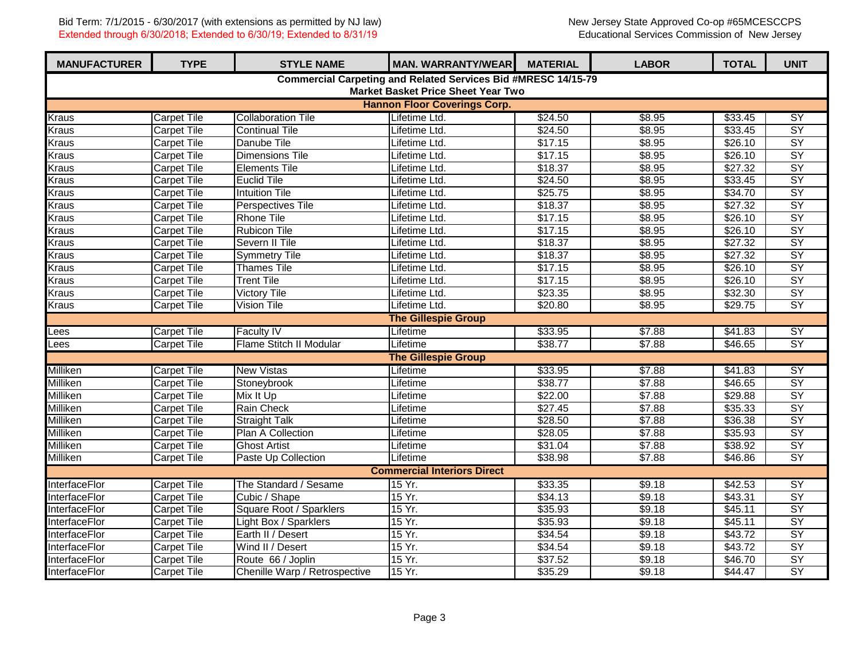| <b>MANUFACTURER</b>                                           | <b>TYPE</b>                               | <b>STYLE NAME</b>             | <b>MAN. WARRANTY/WEAR</b>           | <b>MATERIAL</b> | <b>LABOR</b> | <b>TOTAL</b> | <b>UNIT</b>              |  |  |  |
|---------------------------------------------------------------|-------------------------------------------|-------------------------------|-------------------------------------|-----------------|--------------|--------------|--------------------------|--|--|--|
| Commercial Carpeting and Related Services Bid #MRESC 14/15-79 |                                           |                               |                                     |                 |              |              |                          |  |  |  |
|                                                               | <b>Market Basket Price Sheet Year Two</b> |                               |                                     |                 |              |              |                          |  |  |  |
|                                                               |                                           |                               | <b>Hannon Floor Coverings Corp.</b> |                 |              |              |                          |  |  |  |
| <b>Kraus</b>                                                  | <b>Carpet Tile</b>                        | <b>Collaboration Tile</b>     | Lifetime Ltd.                       | \$24.50         | \$8.95       | \$33.45      | $\overline{SY}$          |  |  |  |
| <b>Kraus</b>                                                  | <b>Carpet Tile</b>                        | <b>Continual Tile</b>         | Lifetime Ltd.                       | \$24.50         | \$8.95       | \$33.45      | $\overline{SY}$          |  |  |  |
| <b>Kraus</b>                                                  | <b>Carpet Tile</b>                        | Danube Tile                   | Lifetime Ltd.                       | \$17.15         | \$8.95       | \$26.10      | $\overline{SY}$          |  |  |  |
| <b>Kraus</b>                                                  | <b>Carpet Tile</b>                        | <b>Dimensions Tile</b>        | Lifetime Ltd.                       | \$17.15         | \$8.95       | \$26.10      | SY                       |  |  |  |
| <b>Kraus</b>                                                  | <b>Carpet Tile</b>                        | <b>Elements Tile</b>          | Lifetime Ltd.                       | \$18.37         | \$8.95       | \$27.32      | $\overline{SY}$          |  |  |  |
| <b>Kraus</b>                                                  | <b>Carpet Tile</b>                        | <b>Euclid Tile</b>            | Lifetime Ltd.                       | \$24.50         | \$8.95       | \$33.45      | <b>SY</b>                |  |  |  |
| <b>Kraus</b>                                                  | <b>Carpet Tile</b>                        | <b>Intuition Tile</b>         | Lifetime Ltd.                       | \$25.75         | \$8.95       | \$34.70      | $\overline{SY}$          |  |  |  |
| <b>Kraus</b>                                                  | <b>Carpet Tile</b>                        | Perspectives Tile             | Lifetime Ltd.                       | \$18.37         | \$8.95       | \$27.32      | $\overline{SY}$          |  |  |  |
| <b>Kraus</b>                                                  | <b>Carpet Tile</b>                        | <b>Rhone Tile</b>             | Lifetime Ltd.                       | \$17.15         | \$8.95       | \$26.10      | $\overline{SY}$          |  |  |  |
| <b>Kraus</b>                                                  | Carpet Tile                               | <b>Rubicon Tile</b>           | Lifetime Ltd.                       | \$17.15         | \$8.95       | \$26.10      | $\overline{SY}$          |  |  |  |
| <b>Kraus</b>                                                  | <b>Carpet Tile</b>                        | Severn II Tile                | Lifetime Ltd.                       | \$18.37         | \$8.95       | \$27.32      | $\overline{SY}$          |  |  |  |
| <b>Kraus</b>                                                  | <b>Carpet Tile</b>                        | <b>Symmetry Tile</b>          | Lifetime Ltd.                       | \$18.37         | \$8.95       | \$27.32      | $\overline{SY}$          |  |  |  |
| <b>Kraus</b>                                                  | <b>Carpet Tile</b>                        | <b>Thames Tile</b>            | Lifetime Ltd.                       | \$17.15         | \$8.95       | \$26.10      | $\overline{SY}$          |  |  |  |
| <b>Kraus</b>                                                  | <b>Carpet Tile</b>                        | <b>Trent Tile</b>             | Lifetime Ltd.                       | \$17.15         | \$8.95       | \$26.10      | $\overline{SY}$          |  |  |  |
| <b>Kraus</b>                                                  | <b>Carpet Tile</b>                        | <b>Victory Tile</b>           | Lifetime Ltd.                       | \$23.35         | \$8.95       | \$32.30      | $\overline{SY}$          |  |  |  |
| <b>Kraus</b>                                                  | <b>Carpet Tile</b>                        | <b>Vision Tile</b>            | Lifetime Ltd.                       | \$20.80         | \$8.95       | \$29.75      | $\overline{\mathsf{SY}}$ |  |  |  |
|                                                               |                                           |                               | <b>The Gillespie Group</b>          |                 |              |              |                          |  |  |  |
| Lees                                                          | <b>Carpet Tile</b>                        | <b>Faculty IV</b>             | Lifetime                            | \$33.95         | \$7.88       | \$41.83      | SY                       |  |  |  |
| Lees                                                          | <b>Carpet Tile</b>                        | Flame Stitch II Modular       | Lifetime                            | \$38.77         | \$7.88       | \$46.65      | $\overline{SY}$          |  |  |  |
|                                                               |                                           |                               | <b>The Gillespie Group</b>          |                 |              |              |                          |  |  |  |
| <b>Milliken</b>                                               | <b>Carpet Tile</b>                        | <b>New Vistas</b>             | Lifetime                            | \$33.95         | \$7.88       | \$41.83      | SY                       |  |  |  |
| Milliken                                                      | <b>Carpet Tile</b>                        | Stoneybrook                   | Lifetime                            | \$38.77         | \$7.88       | \$46.65      | $\overline{SY}$          |  |  |  |
| Milliken                                                      | <b>Carpet Tile</b>                        | Mix It Up                     | Lifetime                            | \$22.00         | \$7.88       | \$29.88      | $\overline{SY}$          |  |  |  |
| Milliken                                                      | <b>Carpet Tile</b>                        | <b>Rain Check</b>             | Lifetime                            | \$27.45         | \$7.88       | \$35.33      | $\overline{SY}$          |  |  |  |
| Milliken                                                      | <b>Carpet Tile</b>                        | <b>Straight Talk</b>          | Lifetime                            | \$28.50         | \$7.88       | \$36.38      | $\overline{SY}$          |  |  |  |
| Milliken                                                      | <b>Carpet Tile</b>                        | Plan A Collection             | Lifetime                            | \$28.05         | \$7.88       | \$35.93      | $\overline{SY}$          |  |  |  |
| Milliken                                                      | <b>Carpet Tile</b>                        | <b>Ghost Artist</b>           | Lifetime                            | \$31.04         | \$7.88       | \$38.92      | $\overline{SY}$          |  |  |  |
| Milliken                                                      | <b>Carpet Tile</b>                        | Paste Up Collection           | Lifetime                            | \$38.98         | \$7.88       | \$46.86      | <b>SY</b>                |  |  |  |
|                                                               |                                           |                               | <b>Commercial Interiors Direct</b>  |                 |              |              |                          |  |  |  |
| <b>InterfaceFlor</b>                                          | <b>Carpet Tile</b>                        | The Standard / Sesame         | 15 Yr.                              | \$33.35         | \$9.18       | \$42.53      | $\overline{SY}$          |  |  |  |
| <b>InterfaceFlor</b>                                          | <b>Carpet Tile</b>                        | Cubic / Shape                 | 15 Yr.                              | \$34.13         | \$9.18       | \$43.31      | $\overline{SY}$          |  |  |  |
| InterfaceFlor                                                 | <b>Carpet Tile</b>                        | Square Root / Sparklers       | 15 Yr.                              | \$35.93         | \$9.18       | \$45.11      | $\overline{SY}$          |  |  |  |
| InterfaceFlor                                                 | <b>Carpet Tile</b>                        | Light Box / Sparklers         | 15 Yr.                              | \$35.93         | \$9.18       | \$45.11      | $\overline{SY}$          |  |  |  |
| InterfaceFlor                                                 | Carpet Tile                               | Earth II / Desert             | 15 Yr.                              | \$34.54         | \$9.18       | \$43.72      | $\overline{SY}$          |  |  |  |
| InterfaceFlor                                                 | <b>Carpet Tile</b>                        | Wind II / Desert              | 15 Yr.                              | \$34.54         | \$9.18       | \$43.72      | $\overline{SY}$          |  |  |  |
| InterfaceFlor                                                 | <b>Carpet Tile</b>                        | Route 66 / Joplin             | 15 Yr.                              | \$37.52         | \$9.18       | \$46.70      | $\overline{SY}$          |  |  |  |
| InterfaceFlor                                                 | <b>Carpet Tile</b>                        | Chenille Warp / Retrospective | 15 Yr.                              | \$35.29         | \$9.18       | \$44.47      | SY                       |  |  |  |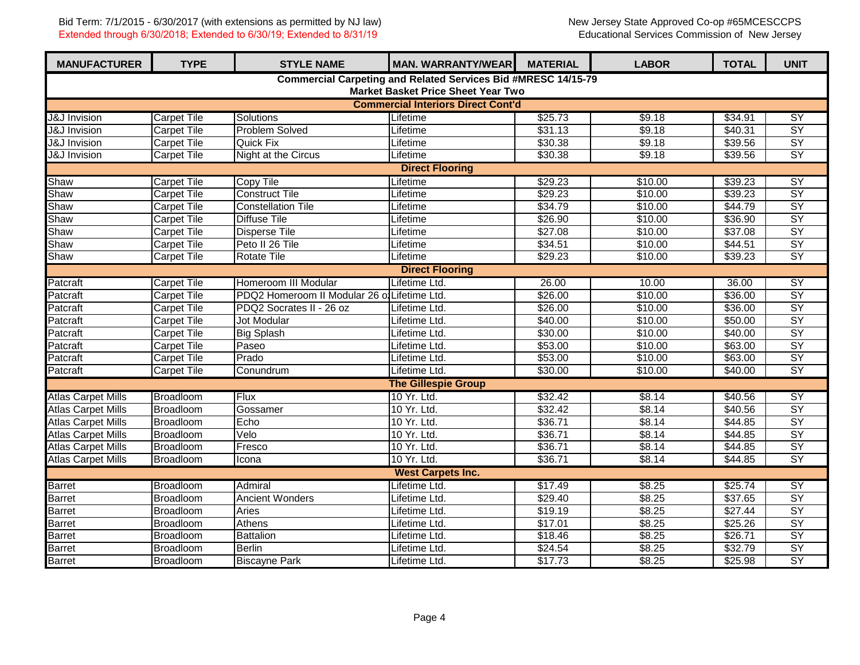| <b>MANUFACTURER</b>                                                                                        | <b>TYPE</b>                               | <b>STYLE NAME</b>                            | <b>MAN. WARRANTY/WEAR</b>  | <b>MATERIAL</b> | <b>LABOR</b> | <b>TOTAL</b> | <b>UNIT</b>              |  |  |  |
|------------------------------------------------------------------------------------------------------------|-------------------------------------------|----------------------------------------------|----------------------------|-----------------|--------------|--------------|--------------------------|--|--|--|
| Commercial Carpeting and Related Services Bid #MRESC 14/15-79<br><b>Market Basket Price Sheet Year Two</b> |                                           |                                              |                            |                 |              |              |                          |  |  |  |
|                                                                                                            | <b>Commercial Interiors Direct Cont'd</b> |                                              |                            |                 |              |              |                          |  |  |  |
| <b>J&amp;J</b> Invision                                                                                    | <b>Carpet Tile</b>                        | Solutions                                    | Lifetime                   | \$25.73         | \$9.18       | \$34.91      | <b>SY</b>                |  |  |  |
| <b>J&amp;J</b> Invision                                                                                    | <b>Carpet Tile</b>                        | <b>Problem Solved</b>                        | Lifetime                   | \$31.13         | \$9.18       | \$40.31      | $\overline{SY}$          |  |  |  |
| <b>J&amp;J</b> Invision                                                                                    | <b>Carpet Tile</b>                        | <b>Quick Fix</b>                             | Lifetime                   | \$30.38         | \$9.18       | \$39.56      | $\overline{SY}$          |  |  |  |
| J&J Invision                                                                                               | <b>Carpet Tile</b>                        | <b>Night at the Circus</b>                   | Lifetime                   | \$30.38         | \$9.18       | \$39.56      | $\overline{SY}$          |  |  |  |
|                                                                                                            | <b>Direct Flooring</b>                    |                                              |                            |                 |              |              |                          |  |  |  |
| SY<br>Shaw<br><b>Carpet Tile</b><br><b>Copy Tile</b><br>\$29.23<br>\$10.00<br>Lifetime<br>\$39.23          |                                           |                                              |                            |                 |              |              |                          |  |  |  |
| Shaw                                                                                                       | <b>Carpet Tile</b>                        | <b>Construct Tile</b>                        | Lifetime                   | \$29.23         | \$10.00      | \$39.23      | $\overline{SY}$          |  |  |  |
| Shaw                                                                                                       | <b>Carpet Tile</b>                        | <b>Constellation Tile</b>                    | Lifetime                   | \$34.79         | \$10.00      | \$44.79      | $\overline{SY}$          |  |  |  |
| Shaw                                                                                                       | <b>Carpet Tile</b>                        | <b>Diffuse Tile</b>                          | Lifetime                   | \$26.90         | \$10.00      | \$36.90      | $\overline{SY}$          |  |  |  |
| Shaw                                                                                                       | <b>Carpet Tile</b>                        | <b>Disperse Tile</b>                         | Lifetime                   | \$27.08         | \$10.00      | \$37.08      | $\overline{SY}$          |  |  |  |
| Shaw                                                                                                       | <b>Carpet Tile</b>                        | Peto II 26 Tile                              | Lifetime                   | \$34.51         | \$10.00      | \$44.51      | $\overline{SY}$          |  |  |  |
| Shaw                                                                                                       | <b>Carpet Tile</b>                        | <b>Rotate Tile</b>                           | Lifetime                   | \$29.23         | \$10.00      | \$39.23      | $\overline{SY}$          |  |  |  |
|                                                                                                            | <b>Direct Flooring</b>                    |                                              |                            |                 |              |              |                          |  |  |  |
| Patcraft                                                                                                   | <b>Carpet Tile</b>                        | Homeroom III Modular                         | Lifetime Ltd.              | 26.00           | 10.00        | 36.00        | SY                       |  |  |  |
| Patcraft                                                                                                   | <b>Carpet Tile</b>                        | PDQ2 Homeroom II Modular 26 of Lifetime Ltd. |                            | \$26.00         | \$10.00      | \$36.00      | $\overline{SY}$          |  |  |  |
| Patcraft                                                                                                   | <b>Carpet Tile</b>                        | PDQ2 Socrates II - 26 oz                     | Lifetime Ltd.              | \$26.00         | \$10.00      | \$36.00      | $\overline{SY}$          |  |  |  |
| Patcraft                                                                                                   | <b>Carpet Tile</b>                        | Jot Modular                                  | Lifetime Ltd.              | \$40.00         | \$10.00      | \$50.00      | $\overline{SY}$          |  |  |  |
| Patcraft                                                                                                   | <b>Carpet Tile</b>                        | <b>Big Splash</b>                            | Lifetime Ltd.              | \$30.00         | \$10.00      | \$40.00      | $\overline{SY}$          |  |  |  |
| Patcraft                                                                                                   | <b>Carpet Tile</b>                        | Paseo                                        | Lifetime Ltd.              | \$53.00         | \$10.00      | \$63.00      | $\overline{SY}$          |  |  |  |
| Patcraft                                                                                                   | <b>Carpet Tile</b>                        | Prado                                        | Lifetime Ltd.              | \$53.00         | \$10.00      | \$63.00      | $\overline{SY}$          |  |  |  |
| Patcraft                                                                                                   | <b>Carpet Tile</b>                        | Conundrum                                    | Lifetime Ltd.              | \$30.00         | \$10.00      | \$40.00      | $\overline{SY}$          |  |  |  |
|                                                                                                            |                                           |                                              | <b>The Gillespie Group</b> |                 |              |              |                          |  |  |  |
| <b>Atlas Carpet Mills</b>                                                                                  | Broadloom                                 | <b>Flux</b>                                  | 10 Yr. Ltd.                | \$32.42         | \$8.14       | \$40.56      | SY                       |  |  |  |
| <b>Atlas Carpet Mills</b>                                                                                  | Broadloom                                 | Gossamer                                     | 10 Yr. Ltd.                | \$32.42         | \$8.14       | \$40.56      | $\overline{SY}$          |  |  |  |
| <b>Atlas Carpet Mills</b>                                                                                  | Broadloom                                 | Echo                                         | 10 Yr. Ltd.                | \$36.71         | \$8.14       | \$44.85      | $\overline{SY}$          |  |  |  |
| <b>Atlas Carpet Mills</b>                                                                                  | Broadloom                                 | Velo                                         | 10 Yr. Ltd.                | \$36.71         | \$8.14       | \$44.85      | SY                       |  |  |  |
| <b>Atlas Carpet Mills</b>                                                                                  | Broadloom                                 | Fresco                                       | 10 Yr. Ltd.                | \$36.71         | \$8.14       | \$44.85      | $\overline{SY}$          |  |  |  |
| <b>Atlas Carpet Mills</b>                                                                                  | Broadloom                                 | Icona                                        | 10 Yr. Ltd.                | \$36.71         | \$8.14       | \$44.85      | $\overline{SY}$          |  |  |  |
| <b>West Carpets Inc.</b>                                                                                   |                                           |                                              |                            |                 |              |              |                          |  |  |  |
| <b>Barret</b>                                                                                              | Broadloom                                 | Admiral                                      | Lifetime Ltd.              | \$17.49         | \$8.25       | \$25.74      | <b>SY</b>                |  |  |  |
| <b>Barret</b>                                                                                              | Broadloom                                 | <b>Ancient Wonders</b>                       | Lifetime Ltd.              | \$29.40         | \$8.25       | \$37.65      | $\overline{SY}$          |  |  |  |
| <b>Barret</b>                                                                                              | Broadloom                                 | Aries                                        | Lifetime Ltd.              | \$19.19         | \$8.25       | \$27.44      | $\overline{SY}$          |  |  |  |
| <b>Barret</b>                                                                                              | Broadloom                                 | Athens                                       | Lifetime Ltd.              | \$17.01         | \$8.25       | \$25.26      | $\overline{SY}$          |  |  |  |
| <b>Barret</b>                                                                                              | Broadloom                                 | <b>Battalion</b>                             | Lifetime Ltd.              | \$18.46         | \$8.25       | \$26.71      | $\overline{SY}$          |  |  |  |
| <b>Barret</b>                                                                                              | Broadloom                                 | <b>Berlin</b>                                | Lifetime Ltd.              | \$24.54         | \$8.25       | \$32.79      | <b>SY</b>                |  |  |  |
| <b>Barret</b>                                                                                              | Broadloom                                 | <b>Biscayne Park</b>                         | Lifetime Ltd.              | \$17.73         | \$8.25       | \$25.98      | $\overline{\mathsf{SY}}$ |  |  |  |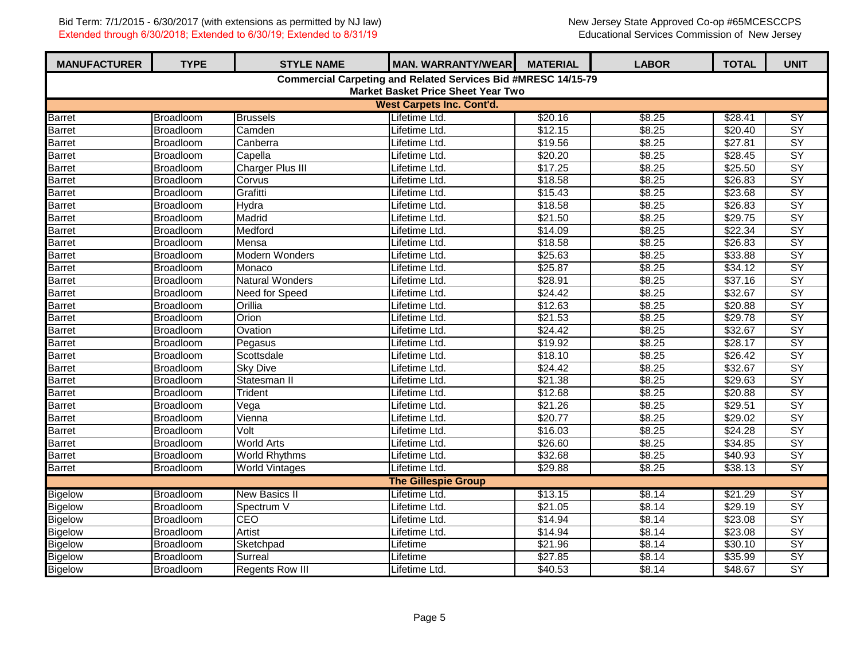| <b>MANUFACTURER</b>                       | <b>TYPE</b>      | <b>STYLE NAME</b>       | <b>MAN. WARRANTY/WEAR</b>                                     | <b>MATERIAL</b> | <b>LABOR</b>   | <b>TOTAL</b> | <b>UNIT</b>     |  |  |
|-------------------------------------------|------------------|-------------------------|---------------------------------------------------------------|-----------------|----------------|--------------|-----------------|--|--|
|                                           |                  |                         | Commercial Carpeting and Related Services Bid #MRESC 14/15-79 |                 |                |              |                 |  |  |
| <b>Market Basket Price Sheet Year Two</b> |                  |                         |                                                               |                 |                |              |                 |  |  |
|                                           |                  |                         | <b>West Carpets Inc. Cont'd.</b>                              |                 |                |              |                 |  |  |
| <b>Barret</b>                             | Broadloom        | <b>Brussels</b>         | Lifetime Ltd.                                                 | \$20.16         | \$8.25         | \$28.41      | $\overline{SY}$ |  |  |
| <b>Barret</b>                             | Broadloom        | Camden                  | Lifetime Ltd.                                                 | \$12.15         | 38.25          | \$20.40      | $\overline{SY}$ |  |  |
| <b>Barret</b>                             | Broadloom        | Canberra                | Lifetime Ltd.                                                 | \$19.56         | \$8.25         | \$27.81      | SY              |  |  |
| <b>Barret</b>                             | Broadloom        | Capella                 | Lifetime Ltd.                                                 | \$20.20         | \$8.25         | \$28.45      | $\overline{SY}$ |  |  |
| <b>Barret</b>                             | Broadloom        | <b>Charger Plus III</b> | Lifetime Ltd.                                                 | \$17.25         | \$8.25         | \$25.50      | $\overline{SY}$ |  |  |
| <b>Barret</b>                             | Broadloom        | Corvus                  | Lifetime Ltd.                                                 | \$18.58         | \$8.25         | \$26.83      | $\overline{SY}$ |  |  |
| <b>Barret</b>                             | Broadloom        | Grafitti                | Lifetime Ltd.                                                 | \$15.43         | \$8.25         | \$23.68      | $\overline{SY}$ |  |  |
| <b>Barret</b>                             | Broadloom        | Hydra                   | Lifetime Ltd.                                                 | \$18.58         | \$8.25         | \$26.83      | $\overline{SY}$ |  |  |
| <b>Barret</b>                             | Broadloom        | Madrid                  | Lifetime Ltd.                                                 | \$21.50         | \$8.25         | \$29.75      | $\overline{SY}$ |  |  |
| <b>Barret</b>                             | Broadloom        | Medford                 | Lifetime Ltd.                                                 | \$14.09         | \$8.25         | \$22.34      | $\overline{SY}$ |  |  |
| <b>Barret</b>                             | Broadloom        | Mensa                   | Lifetime Ltd.                                                 | \$18.58         | \$8.25         | \$26.83      | $\overline{SY}$ |  |  |
| <b>Barret</b>                             | Broadloom        | <b>Modern Wonders</b>   | Lifetime Ltd.                                                 | \$25.63         | \$8.25         | \$33.88      | SY              |  |  |
| <b>Barret</b>                             | Broadloom        | Monaco                  | Lifetime Ltd.                                                 | \$25.87         | \$8.25         | \$34.12      | $\overline{SY}$ |  |  |
| <b>Barret</b>                             | Broadloom        | <b>Natural Wonders</b>  | Lifetime Ltd.                                                 | \$28.91         | \$8.25         | \$37.16      | $\overline{SY}$ |  |  |
| <b>Barret</b>                             | Broadloom        | Need for Speed          | Lifetime Ltd.                                                 | \$24.42         | \$8.25         | \$32.67      | $\overline{SY}$ |  |  |
| <b>Barret</b>                             | <b>Broadloom</b> | Orillia                 | Lifetime Ltd.                                                 | \$12.63         | \$8.25         | \$20.88      | $\overline{SY}$ |  |  |
| Barret                                    | Broadloom        | Orion                   | Lifetime Ltd.                                                 | \$21.53         | \$8.25         | \$29.78      | $\overline{SY}$ |  |  |
| <b>Barret</b>                             | Broadloom        | Ovation                 | Lifetime Ltd.                                                 | \$24.42         | \$8.25         | \$32.67      | $\overline{SY}$ |  |  |
| <b>Barret</b>                             | Broadloom        | Pegasus                 | Lifetime Ltd.                                                 | \$19.92         | \$8.25         | \$28.17      | $\overline{SY}$ |  |  |
| Barret                                    | Broadloom        | Scottsdale              | Lifetime Ltd.                                                 | \$18.10         | \$8.25         | \$26.42      | $\overline{SY}$ |  |  |
| <b>Barret</b>                             | Broadloom        | <b>Sky Dive</b>         | Lifetime Ltd.                                                 | \$24.42         | 38.25          | \$32.67      | $\overline{SY}$ |  |  |
| <b>Barret</b>                             | Broadloom        | Statesman II            | Lifetime Ltd.                                                 | \$21.38         | \$8.25         | \$29.63      | $\overline{SY}$ |  |  |
| <b>Barret</b>                             | Broadloom        | Trident                 | Lifetime Ltd.                                                 | \$12.68         | \$8.25         | \$20.88      | $\overline{SY}$ |  |  |
| <b>Barret</b>                             | Broadloom        | Vega                    | Lifetime Ltd.                                                 | \$21.26         | \$8.25         | \$29.51      | $\overline{SY}$ |  |  |
| <b>Barret</b>                             | Broadloom        | Vienna                  | Lifetime Ltd.                                                 | \$20.77         | \$8.25         | \$29.02      | $\overline{SY}$ |  |  |
| <b>Barret</b>                             | Broadloom        | Volt                    | Lifetime Ltd.                                                 | \$16.03         | \$8.25         | \$24.28      | $\overline{SY}$ |  |  |
| <b>Barret</b>                             | Broadloom        | <b>World Arts</b>       | Lifetime Ltd.                                                 | \$26.60         | \$8.25         | \$34.85      | $\overline{SY}$ |  |  |
| <b>Barret</b>                             | Broadloom        | <b>World Rhythms</b>    | Lifetime Ltd.                                                 | \$32.68         | \$8.25         | \$40.93      | $\overline{SY}$ |  |  |
| <b>Barret</b>                             | Broadloom        | <b>World Vintages</b>   | Lifetime Ltd.                                                 | \$29.88         | \$8.25         | \$38.13      | $\overline{SY}$ |  |  |
|                                           |                  |                         | <b>The Gillespie Group</b>                                    |                 |                |              |                 |  |  |
| <b>Bigelow</b>                            | Broadloom        | <b>New Basics II</b>    | Lifetime Ltd.                                                 | \$13.15         | \$8.14         | \$21.29      | SY              |  |  |
| <b>Bigelow</b>                            | Broadloom        | Spectrum V              | Lifetime Ltd.                                                 | \$21.05         | \$8.14         | \$29.19      | $\overline{SY}$ |  |  |
| <b>Bigelow</b>                            | Broadloom        | CEO                     | Lifetime Ltd.                                                 | \$14.94         | \$8.14         | \$23.08      | $\overline{SY}$ |  |  |
| <b>Bigelow</b>                            | Broadloom        | <b>Artist</b>           | Lifetime Ltd.                                                 | \$14.94         | \$8.14         | \$23.08      | $\overline{SY}$ |  |  |
| <b>Bigelow</b>                            | Broadloom        | Sketchpad               | Lifetime                                                      | \$21.96         | \$8.14         | \$30.10      | $\overline{SY}$ |  |  |
| <b>Bigelow</b>                            | <b>Broadloom</b> | Surreal                 | Lifetime                                                      | \$27.85         | \$8.14         | \$35.99      | $\overline{SY}$ |  |  |
| <b>Bigelow</b>                            | Broadloom        | <b>Regents Row III</b>  | Lifetime Ltd.                                                 | \$40.53         | $\sqrt{$8.14}$ | \$48.67      | $\overline{SY}$ |  |  |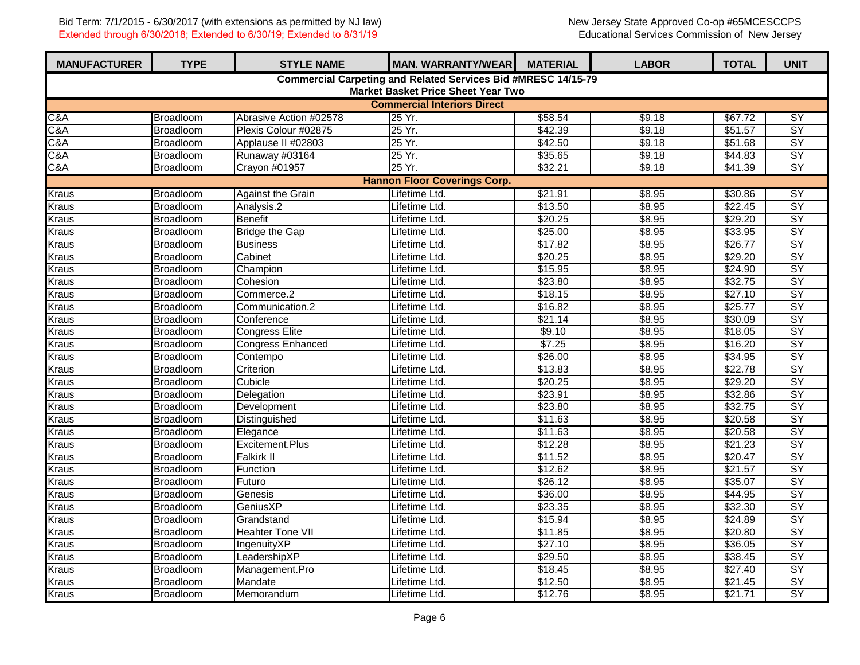| <b>MANUFACTURER</b>                                                                                        | <b>TYPE</b>      | <b>STYLE NAME</b>        | <b>MAN. WARRANTY/WEAR</b>           | <b>MATERIAL</b> | <b>LABOR</b> | <b>TOTAL</b>        | <b>UNIT</b>     |  |  |  |
|------------------------------------------------------------------------------------------------------------|------------------|--------------------------|-------------------------------------|-----------------|--------------|---------------------|-----------------|--|--|--|
| <b>Commercial Carpeting and Related Services Bid #MRESC 14/15-79</b><br>Market Basket Price Sheet Year Two |                  |                          |                                     |                 |              |                     |                 |  |  |  |
| <b>Commercial Interiors Direct</b>                                                                         |                  |                          |                                     |                 |              |                     |                 |  |  |  |
| C&A                                                                                                        | Broadloom        | Abrasive Action #02578   | 25 Yr.                              | \$58.54         | \$9.18       | \$67.72             | <b>SY</b>       |  |  |  |
| C&A                                                                                                        | Broadloom        | Plexis Colour #02875     | 25 Yr.                              | \$42.39         | \$9.18       | \$51.57             | $\overline{SY}$ |  |  |  |
| C&A                                                                                                        | Broadloom        | Applause II #02803       | 25 Yr.                              | \$42.50         | \$9.18       | \$51.68             | $\overline{SY}$ |  |  |  |
| C&A                                                                                                        | Broadloom        | Runaway #03164           | 25 Yr.                              | \$35.65         | \$9.18       | \$44.83             | $\overline{SY}$ |  |  |  |
| C&A                                                                                                        | Broadloom        | Crayon #01957            | 25 Yr.                              | \$32.21         | \$9.18       | \$41.39             | SY              |  |  |  |
|                                                                                                            |                  |                          | <b>Hannon Floor Coverings Corp.</b> |                 |              |                     |                 |  |  |  |
| <b>Kraus</b>                                                                                               | Broadloom        | <b>Against the Grain</b> | \$21.91                             | \$8.95          | \$30.86      | <b>SY</b>           |                 |  |  |  |
| Kraus                                                                                                      | Broadloom        | Analysis.2               | Lifetime Ltd.<br>Lifetime Ltd.      | \$13.50         | \$8.95       | \$22.45             | $\overline{SY}$ |  |  |  |
| Kraus                                                                                                      | Broadloom        | <b>Benefit</b>           | Lifetime Ltd.                       | \$20.25         | \$8.95       | \$29.20             | $\overline{SY}$ |  |  |  |
| <b>Kraus</b>                                                                                               | Broadloom        | <b>Bridge the Gap</b>    | Lifetime Ltd.                       | \$25.00         | \$8.95       | \$33.95             | $\overline{SY}$ |  |  |  |
| Kraus                                                                                                      | <b>Broadloom</b> | <b>Business</b>          | Lifetime Ltd.                       | \$17.82         | \$8.95       | \$26.77             | $\overline{SY}$ |  |  |  |
| Kraus                                                                                                      | Broadloom        | Cabinet                  | Lifetime Ltd.                       | \$20.25         | \$8.95       | \$29.20             | $\overline{SY}$ |  |  |  |
| Kraus                                                                                                      | Broadloom        | Champion                 | Lifetime Ltd.                       | \$15.95         | \$8.95       | \$24.90             | $\overline{SY}$ |  |  |  |
| Kraus                                                                                                      | Broadloom        | Cohesion                 | Lifetime Ltd.                       | \$23.80         | \$8.95       | \$32.75             | $\overline{SY}$ |  |  |  |
| Kraus                                                                                                      | Broadloom        | Commerce.2               | Lifetime Ltd.                       | \$18.15         | \$8.95       | \$27.10             | $\overline{SY}$ |  |  |  |
| Kraus                                                                                                      | Broadloom        | Communication.2          | Lifetime Ltd.                       | \$16.82         | \$8.95       | \$25.77             | $\overline{SY}$ |  |  |  |
| Kraus                                                                                                      | Broadloom        | Conference               | Lifetime Ltd.                       | \$21.14         | \$8.95       | \$30.09             | $\overline{SY}$ |  |  |  |
| Kraus                                                                                                      | <b>Broadloom</b> | <b>Congress Elite</b>    | Lifetime Ltd.                       | \$9.10          | \$8.95       | \$18.05             | $\overline{SY}$ |  |  |  |
| Kraus                                                                                                      | Broadloom        | <b>Congress Enhanced</b> | Lifetime Ltd.                       | \$7.25          | \$8.95       | \$16.20             | $\overline{SY}$ |  |  |  |
| <b>Kraus</b>                                                                                               | Broadloom        | Contempo                 | Lifetime Ltd.                       | \$26.00         | \$8.95       | \$34.95             | $\overline{SY}$ |  |  |  |
| Kraus                                                                                                      | <b>Broadloom</b> | Criterion                | Lifetime Ltd.                       | \$13.83         | \$8.95       | \$22.78             | $\overline{SY}$ |  |  |  |
| Kraus                                                                                                      | <b>Broadloom</b> | Cubicle                  | Lifetime Ltd.                       | \$20.25         | \$8.95       | \$29.20             | $\overline{SY}$ |  |  |  |
| Kraus                                                                                                      | Broadloom        | Delegation               | Lifetime Ltd.                       | \$23.91         | \$8.95       | \$32.86             | $\overline{SY}$ |  |  |  |
| Kraus                                                                                                      | Broadloom        | Development              | Lifetime Ltd.                       | \$23.80         | \$8.95       | \$32.75             | $\overline{SY}$ |  |  |  |
| Kraus                                                                                                      | Broadloom        | Distinguished            | Lifetime Ltd.                       | \$11.63         | \$8.95       | \$20.58             | $\overline{SY}$ |  |  |  |
| <b>Kraus</b>                                                                                               | Broadloom        | Elegance                 | Lifetime Ltd.                       | \$11.63         | \$8.95       | \$20.58             | $\overline{SY}$ |  |  |  |
| <b>Kraus</b>                                                                                               | Broadloom        | Excitement.Plus          | Lifetime Ltd.                       | \$12.28         | \$8.95       | \$21.23             | $\overline{SY}$ |  |  |  |
| Kraus                                                                                                      | <b>Broadloom</b> | <b>Falkirk II</b>        | Lifetime Ltd.                       | \$11.52         | \$8.95       | \$20.47             | $\overline{SY}$ |  |  |  |
| Kraus                                                                                                      | Broadloom        | Function                 | Lifetime Ltd.                       | \$12.62         | 38.95        | \$21.57             | $\overline{SY}$ |  |  |  |
| <b>Kraus</b>                                                                                               | Broadloom        | Futuro                   | Lifetime Ltd.                       | \$26.12         | \$8.95       | \$35.07             | $\overline{SY}$ |  |  |  |
| Kraus                                                                                                      | Broadloom        | Genesis                  | Lifetime Ltd.                       | \$36.00         | \$8.95       | 344.95              | $\overline{SY}$ |  |  |  |
| Kraus                                                                                                      | Broadloom        | GeniusXP                 | Lifetime Ltd.                       | \$23.35         | \$8.95       | \$32.30             | $\overline{SY}$ |  |  |  |
| Kraus                                                                                                      | <b>Broadloom</b> | Grandstand               | Lifetime Ltd.                       | \$15.94         | \$8.95       | \$24.89             | $\overline{SY}$ |  |  |  |
| Kraus                                                                                                      | Broadloom        | <b>Heahter Tone VII</b>  | Lifetime Ltd.                       | \$11.85         | \$8.95       | \$20.80             | $\overline{SY}$ |  |  |  |
| Kraus                                                                                                      | <b>Broadloom</b> | IngenuityXP              | Lifetime Ltd.                       | \$27.10         | 38.95        | \$36.05             | $\overline{SY}$ |  |  |  |
| <b>Kraus</b>                                                                                               | Broadloom        | LeadershipXP             | Lifetime Ltd.                       | \$29.50         | \$8.95       | \$38.45             | $\overline{SY}$ |  |  |  |
| <b>Kraus</b>                                                                                               | Broadloom        | Management.Pro           | Lifetime Ltd.                       | \$18.45         | \$8.95       | \$27.40             | $\overline{SY}$ |  |  |  |
| <b>Kraus</b>                                                                                               | <b>Broadloom</b> | Mandate                  | Lifetime Ltd.                       | \$12.50         | \$8.95       | $\overline{$21.45}$ | $\overline{SY}$ |  |  |  |
| <b>Kraus</b>                                                                                               | Broadloom        | Memorandum               | Lifetime Ltd.                       | \$12.76         | \$8.95       | \$21.71             | SY              |  |  |  |